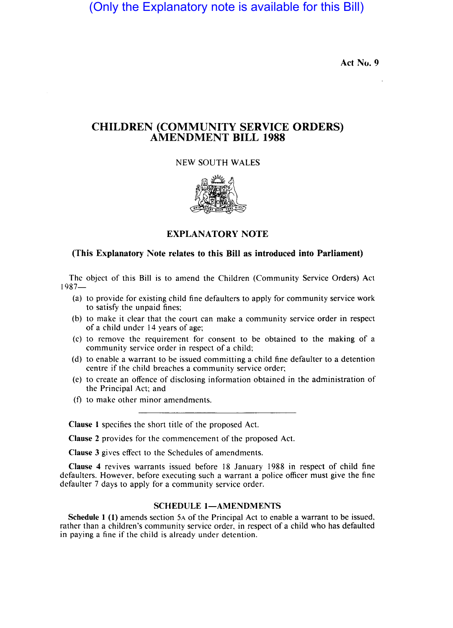(Only the Explanatory note is available for this Bill)

Act No. 9

## CHILDREN (COMMUNITY SERVICE ORDERS) AMENDMENT BILL 1988

NEW SOUTH WALES



EXPLANATORY NOTE

## (This Explanatory Note relates to this Bill as introduced into Parliament)

The object of this Bill is to amend the Children (Community Service Orders) Act 1987-

- (a) to provide for existing child fine defaulters to apply for community service work to satisfy the unpaid fines;
- (b) to make it clear that the court can make a community service order in respect of a child under 14 years of age;
- (c) to remove the requirement for consent to be obtained to the making of a community service order in respect of a child;
- (d) to enable a warrant to be issued committing a child fine defaulter to a detention centre if the child breaches a community service order;
- (e) to create an offence of disclosing information obtained in the administration of the Principal Act; and
- (f) to make other minor amendments.

Clause I specifies the short title of the proposed Act.

Clause 2 provides for the commencement of the proposed Act.

Clause 3 gives effect to the Schedules of amendments.

Clause 4 revives warrants issued before 18 January 1988 in respect of child fine defaulters. However, before executing such a warrant a police officer must give the fine defaulter 7 days to apply for a community service order.

## SCHEDULE 1-AMENDMENTS

Schedule 1 (1) amends section 5A of the Principal Act to enable a warrant to be issued, rather than a children's community service order, in respect of a child who has defaulted in paying a fine if the child is already under detention.